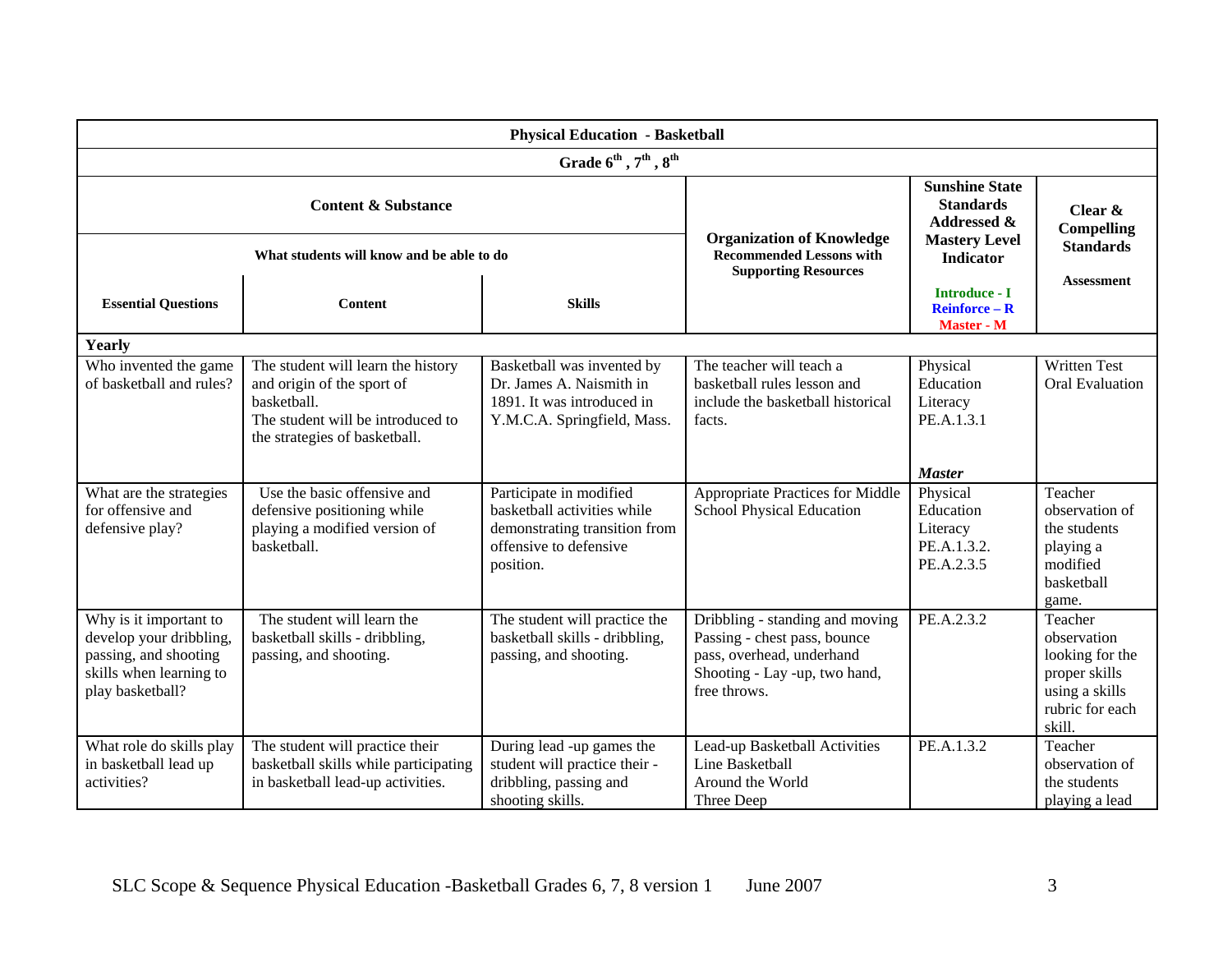| <b>Physical Education - Basketball</b>                                                                                    |                                                                                                                                                       |                                                                                                                                |                                                                                                                                               |                                                                                                                 |                                                                                                           |  |  |  |  |
|---------------------------------------------------------------------------------------------------------------------------|-------------------------------------------------------------------------------------------------------------------------------------------------------|--------------------------------------------------------------------------------------------------------------------------------|-----------------------------------------------------------------------------------------------------------------------------------------------|-----------------------------------------------------------------------------------------------------------------|-----------------------------------------------------------------------------------------------------------|--|--|--|--|
| Grade $6^{\text{th}}$ , $7^{\text{th}}$ , $8^{\text{th}}$                                                                 |                                                                                                                                                       |                                                                                                                                |                                                                                                                                               |                                                                                                                 |                                                                                                           |  |  |  |  |
| <b>Content &amp; Substance</b><br>What students will know and be able to do                                               |                                                                                                                                                       |                                                                                                                                | <b>Organization of Knowledge</b><br><b>Recommended Lessons with</b>                                                                           | <b>Sunshine State</b><br><b>Standards</b><br><b>Addressed &amp;</b><br><b>Mastery Level</b><br><b>Indicator</b> | Clear &<br><b>Compelling</b><br><b>Standards</b>                                                          |  |  |  |  |
| <b>Essential Questions</b>                                                                                                | <b>Content</b>                                                                                                                                        | <b>Skills</b>                                                                                                                  | <b>Supporting Resources</b>                                                                                                                   | <b>Introduce - I</b><br><b>Reinforce - R</b><br>Master - M                                                      | <b>Assessment</b>                                                                                         |  |  |  |  |
| Yearly                                                                                                                    |                                                                                                                                                       |                                                                                                                                |                                                                                                                                               |                                                                                                                 |                                                                                                           |  |  |  |  |
| Who invented the game<br>of basketball and rules?                                                                         | The student will learn the history<br>and origin of the sport of<br>basketball.<br>The student will be introduced to<br>the strategies of basketball. | Basketball was invented by<br>Dr. James A. Naismith in<br>1891. It was introduced in<br>Y.M.C.A. Springfield, Mass.            | The teacher will teach a<br>basketball rules lesson and<br>include the basketball historical<br>facts.                                        | Physical<br>Education<br>Literacy<br>PE.A.1.3.1                                                                 | <b>Written Test</b><br><b>Oral Evaluation</b>                                                             |  |  |  |  |
|                                                                                                                           |                                                                                                                                                       |                                                                                                                                |                                                                                                                                               | <b>Master</b>                                                                                                   |                                                                                                           |  |  |  |  |
| What are the strategies<br>for offensive and<br>defensive play?                                                           | Use the basic offensive and<br>defensive positioning while<br>playing a modified version of<br>basketball.                                            | Participate in modified<br>basketball activities while<br>demonstrating transition from<br>offensive to defensive<br>position. | Appropriate Practices for Middle<br>School Physical Education                                                                                 | Physical<br>Education<br>Literacy<br>PE.A.1.3.2.<br>PE.A.2.3.5                                                  | Teacher<br>observation of<br>the students<br>playing a<br>modified<br>basketball<br>game.                 |  |  |  |  |
| Why is it important to<br>develop your dribbling,<br>passing, and shooting<br>skills when learning to<br>play basketball? | The student will learn the<br>basketball skills - dribbling,<br>passing, and shooting.                                                                | The student will practice the<br>basketball skills - dribbling,<br>passing, and shooting.                                      | Dribbling - standing and moving<br>Passing - chest pass, bounce<br>pass, overhead, underhand<br>Shooting - Lay -up, two hand,<br>free throws. | PE.A.2.3.2                                                                                                      | Teacher<br>observation<br>looking for the<br>proper skills<br>using a skills<br>rubric for each<br>skill. |  |  |  |  |
| What role do skills play<br>in basketball lead up<br>activities?                                                          | The student will practice their<br>basketball skills while participating<br>in basketball lead-up activities.                                         | During lead -up games the<br>student will practice their -<br>dribbling, passing and<br>shooting skills.                       | Lead-up Basketball Activities<br>Line Basketball<br>Around the World<br>Three Deep                                                            | PE.A.1.3.2                                                                                                      | Teacher<br>observation of<br>the students<br>playing a lead                                               |  |  |  |  |